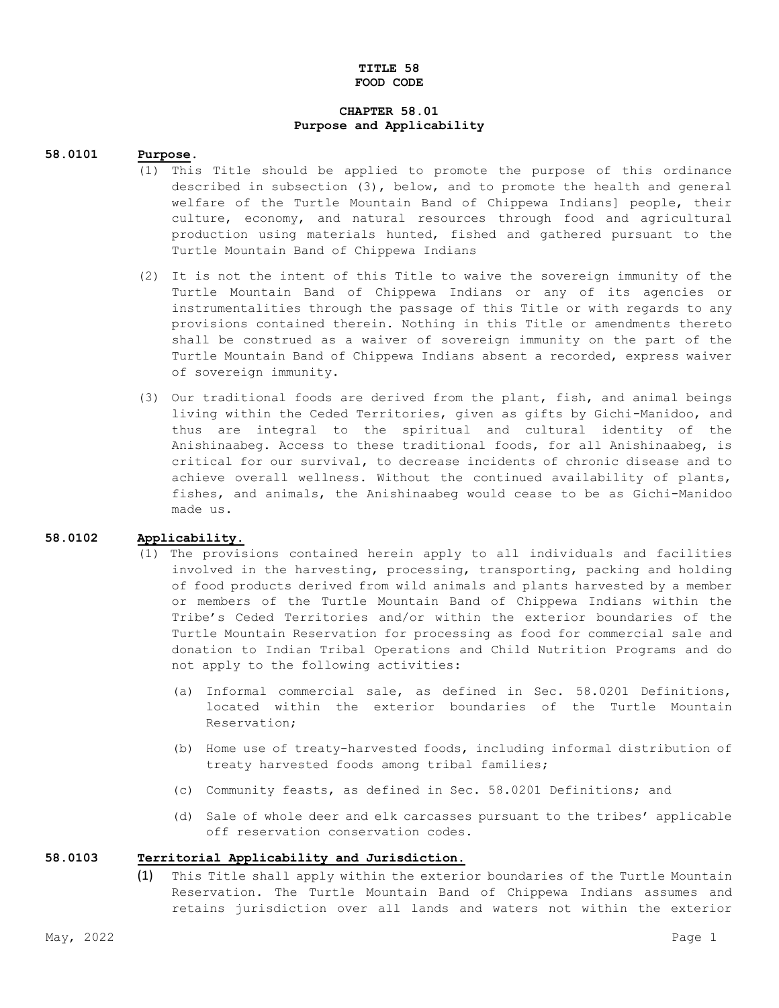#### **TITLE 58 FOOD CODE**

## **CHAPTER 58.01 Purpose and Applicability**

#### **58.0101 Purpose.**

- (1) This Title should be applied to promote the purpose of this ordinance described in subsection (3), below, and to promote the health and general welfare of the Turtle Mountain Band of Chippewa Indians] people, their culture, economy, and natural resources through food and agricultural production using materials hunted, fished and gathered pursuant to the Turtle Mountain Band of Chippewa Indians
- (2) It is not the intent of this Title to waive the sovereign immunity of the Turtle Mountain Band of Chippewa Indians or any of its agencies or instrumentalities through the passage of this Title or with regards to any provisions contained therein. Nothing in this Title or amendments thereto shall be construed as a waiver of sovereign immunity on the part of the Turtle Mountain Band of Chippewa Indians absent a recorded, express waiver of sovereign immunity.
- (3) Our traditional foods are derived from the plant, fish, and animal beings living within the Ceded Territories, given as gifts by Gichi-Manidoo, and thus are integral to the spiritual and cultural identity of the Anishinaabeg. Access to these traditional foods, for all Anishinaabeg, is critical for our survival, to decrease incidents of chronic disease and to achieve overall wellness. Without the continued availability of plants, fishes, and animals, the Anishinaabeg would cease to be as Gichi-Manidoo made us.

#### **58.0102 Applicability.**

- (1) The provisions contained herein apply to all individuals and facilities involved in the harvesting, processing, transporting, packing and holding of food products derived from wild animals and plants harvested by a member or members of the Turtle Mountain Band of Chippewa Indians within the Tribe's Ceded Territories and/or within the exterior boundaries of the Turtle Mountain Reservation for processing as food for commercial sale and donation to Indian Tribal Operations and Child Nutrition Programs and do not apply to the following activities:
	- (a) Informal commercial sale, as defined in Sec. 58.0201 Definitions, located within the exterior boundaries of the Turtle Mountain Reservation;
	- (b) Home use of treaty-harvested foods, including informal distribution of treaty harvested foods among tribal families;
	- (c) Community feasts, as defined in Sec. 58.0201 Definitions; and
	- (d) Sale of whole deer and elk carcasses pursuant to the tribes' applicable off reservation conservation codes.

#### **58.0103 Territorial Applicability and Jurisdiction.**

(1) This Title shall apply within the exterior boundaries of the Turtle Mountain Reservation. The Turtle Mountain Band of Chippewa Indians assumes and retains jurisdiction over all lands and waters not within the exterior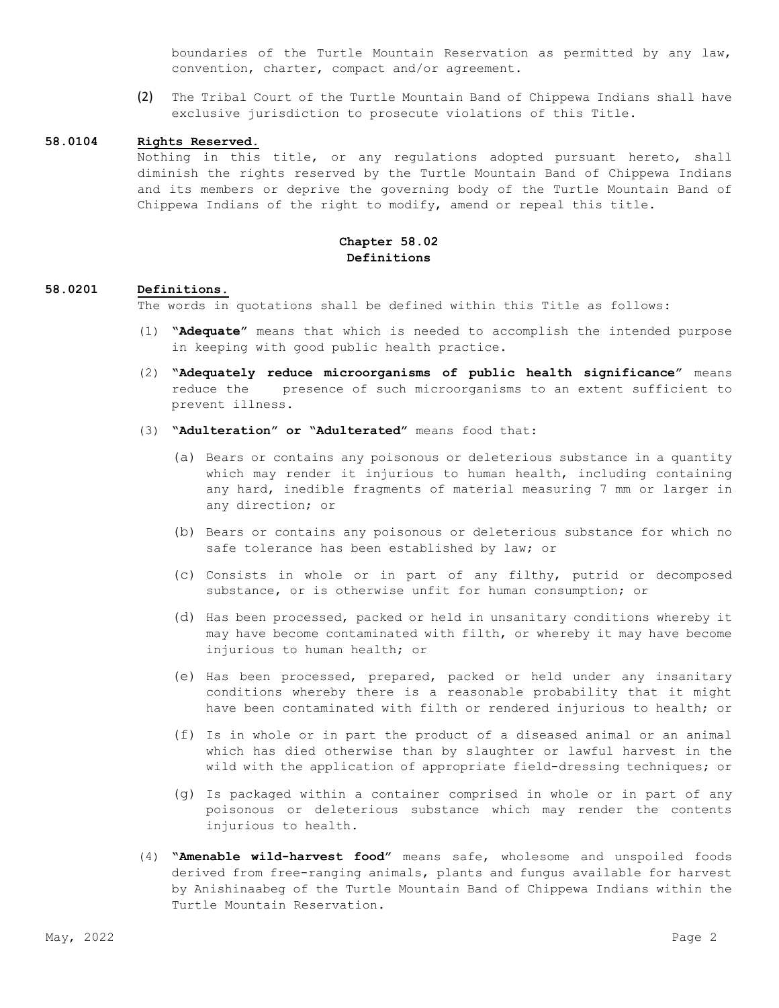boundaries of the Turtle Mountain Reservation as permitted by any law, convention, charter, compact and/or agreement.

(2) The Tribal Court of the Turtle Mountain Band of Chippewa Indians shall have exclusive jurisdiction to prosecute violations of this Title.

#### **58.0104 Rights Reserved.**

Nothing in this title, or any regulations adopted pursuant hereto, shall diminish the rights reserved by the Turtle Mountain Band of Chippewa Indians and its members or deprive the governing body of the Turtle Mountain Band of Chippewa Indians of the right to modify, amend or repeal this title.

# **Chapter 58.02 Definitions**

#### **58.0201 Definitions.**

The words in quotations shall be defined within this Title as follows:

- (1) **"Adequate"** means that which is needed to accomplish the intended purpose in keeping with good public health practice.
- (2) **"Adequately reduce microorganisms of public health significance"** means reduce the presence of such microorganisms to an extent sufficient to prevent illness.
- (3) **"Adulteration" or "Adulterated"** means food that:
	- (a) Bears or contains any poisonous or deleterious substance in a quantity which may render it injurious to human health, including containing any hard, inedible fragments of material measuring 7 mm or larger in any direction; or
	- (b) Bears or contains any poisonous or deleterious substance for which no safe tolerance has been established by law; or
	- (c) Consists in whole or in part of any filthy, putrid or decomposed substance, or is otherwise unfit for human consumption; or
	- (d) Has been processed, packed or held in unsanitary conditions whereby it may have become contaminated with filth, or whereby it may have become injurious to human health; or
	- (e) Has been processed, prepared, packed or held under any insanitary conditions whereby there is a reasonable probability that it might have been contaminated with filth or rendered injurious to health; or
	- (f) Is in whole or in part the product of a diseased animal or an animal which has died otherwise than by slaughter or lawful harvest in the wild with the application of appropriate field-dressing techniques; or
	- (g) Is packaged within a container comprised in whole or in part of any poisonous or deleterious substance which may render the contents injurious to health.
- (4) **"Amenable wild-harvest food"** means safe, wholesome and unspoiled foods derived from free-ranging animals, plants and fungus available for harvest by Anishinaabeg of the Turtle Mountain Band of Chippewa Indians within the Turtle Mountain Reservation.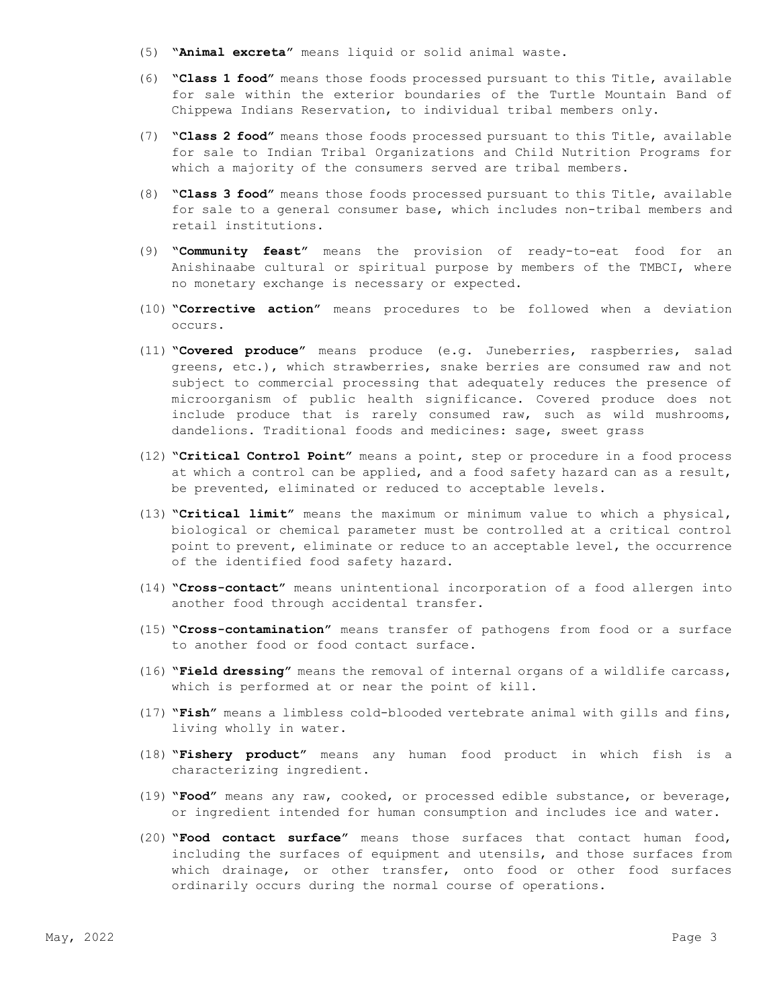- (5) **"Animal excreta"** means liquid or solid animal waste.
- (6) **"Class 1 food"** means those foods processed pursuant to this Title, available for sale within the exterior boundaries of the Turtle Mountain Band of Chippewa Indians Reservation, to individual tribal members only.
- (7) **"Class 2 food"** means those foods processed pursuant to this Title, available for sale to Indian Tribal Organizations and Child Nutrition Programs for which a majority of the consumers served are tribal members.
- (8) **"Class 3 food"** means those foods processed pursuant to this Title, available for sale to a general consumer base, which includes non-tribal members and retail institutions.
- (9) **"Community feast"** means the provision of ready-to-eat food for an Anishinaabe cultural or spiritual purpose by members of the TMBCI, where no monetary exchange is necessary or expected.
- (10) **"Corrective action"** means procedures to be followed when a deviation occurs.
- (11) **"Covered produce"** means produce (e.g. Juneberries, raspberries, salad greens, etc.), which strawberries, snake berries are consumed raw and not subject to commercial processing that adequately reduces the presence of microorganism of public health significance. Covered produce does not include produce that is rarely consumed raw, such as wild mushrooms, dandelions. Traditional foods and medicines: sage, sweet grass
- (12) **"Critical Control Point"** means a point, step or procedure in a food process at which a control can be applied, and a food safety hazard can as a result, be prevented, eliminated or reduced to acceptable levels.
- (13) **"Critical limit"** means the maximum or minimum value to which a physical, biological or chemical parameter must be controlled at a critical control point to prevent, eliminate or reduce to an acceptable level, the occurrence of the identified food safety hazard.
- (14) **"Cross-contact"** means unintentional incorporation of a food allergen into another food through accidental transfer.
- (15) **"Cross-contamination"** means transfer of pathogens from food or a surface to another food or food contact surface.
- (16) **"Field dressing"** means the removal of internal organs of a wildlife carcass, which is performed at or near the point of kill.
- (17) **"Fish"** means a limbless cold-blooded vertebrate animal with gills and fins, living wholly in water.
- (18) **"Fishery product"** means any human food product in which fish is a characterizing ingredient.
- (19) **"Food"** means any raw, cooked, or processed edible substance, or beverage, or ingredient intended for human consumption and includes ice and water.
- (20) **"Food contact surface"** means those surfaces that contact human food, including the surfaces of equipment and utensils, and those surfaces from which drainage, or other transfer, onto food or other food surfaces ordinarily occurs during the normal course of operations.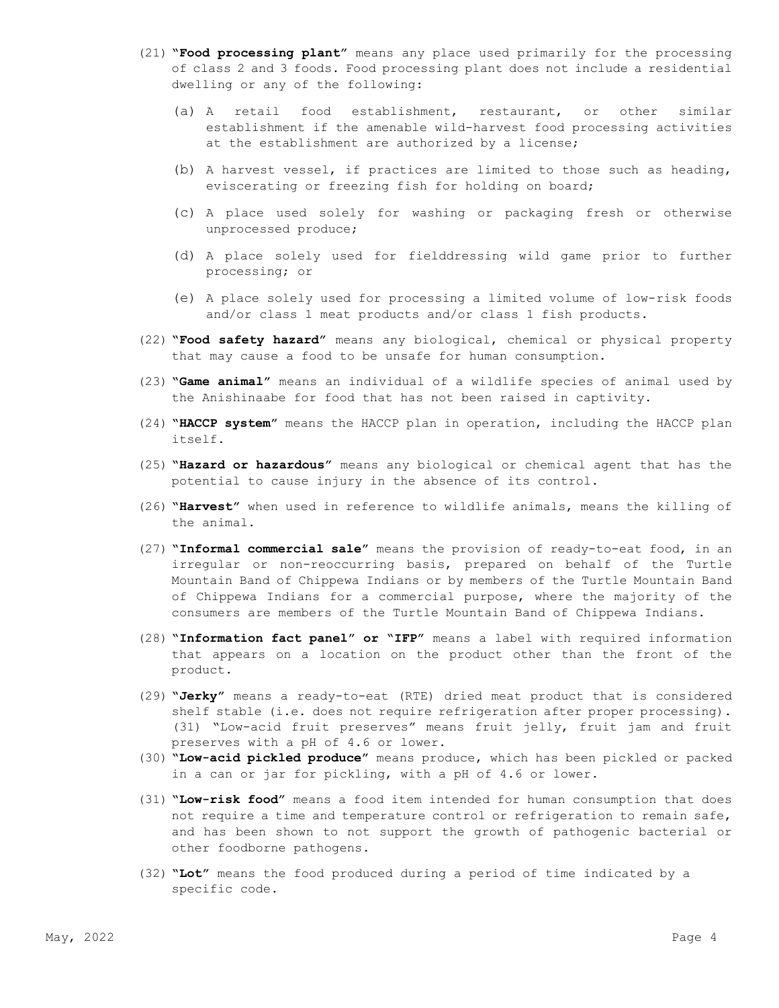- (21) **"Food processing plant"** means any place used primarily for the processing of class 2 and 3 foods. Food processing plant does not include a residential dwelling or any of the following:
	- (a) A retail food establishment, restaurant, or other similar establishment if the amenable wild-harvest food processing activities at the establishment are authorized by a license;
	- (b) A harvest vessel, if practices are limited to those such as heading, eviscerating or freezing fish for holding on board;
	- (c) A place used solely for washing or packaging fresh or otherwise unprocessed produce;
	- (d) A place solely used for fielddressing wild game prior to further processing; or
	- (e) A place solely used for processing a limited volume of low-risk foods and/or class 1 meat products and/or class 1 fish products.
- (22) **"Food safety hazard"** means any biological, chemical or physical property that may cause a food to be unsafe for human consumption.
- (23) **"Game animal"** means an individual of a wildlife species of animal used by the Anishinaabe for food that has not been raised in captivity.
- (24) **"HACCP system"** means the HACCP plan in operation, including the HACCP plan itself.
- (25) **"Hazard or hazardous"** means any biological or chemical agent that has the potential to cause injury in the absence of its control.
- (26) **"Harvest"** when used in reference to wildlife animals, means the killing of the animal.
- (27) **"Informal commercial sale"** means the provision of ready-to-eat food, in an irregular or non-reoccurring basis, prepared on behalf of the Turtle Mountain Band of Chippewa Indians or by members of the Turtle Mountain Band of Chippewa Indians for a commercial purpose, where the majority of the consumers are members of the Turtle Mountain Band of Chippewa Indians.
- (28) **"Information fact panel" or "IFP"** means a label with required information that appears on a location on the product other than the front of the product.
- (29) **"Jerky"** means a ready-to-eat (RTE) dried meat product that is considered shelf stable (i.e. does not require refrigeration after proper processing). (31) "Low-acid fruit preserves" means fruit jelly, fruit jam and fruit preserves with a pH of 4.6 or lower.
- (30) **"Low-acid pickled produce"** means produce, which has been pickled or packed in a can or jar for pickling, with a pH of 4.6 or lower.
- (31) **"Low-risk food"** means a food item intended for human consumption that does not require a time and temperature control or refrigeration to remain safe, and has been shown to not support the growth of pathogenic bacterial or other foodborne pathogens.
- (32) **"Lot"** means the food produced during a period of time indicated by a specific code.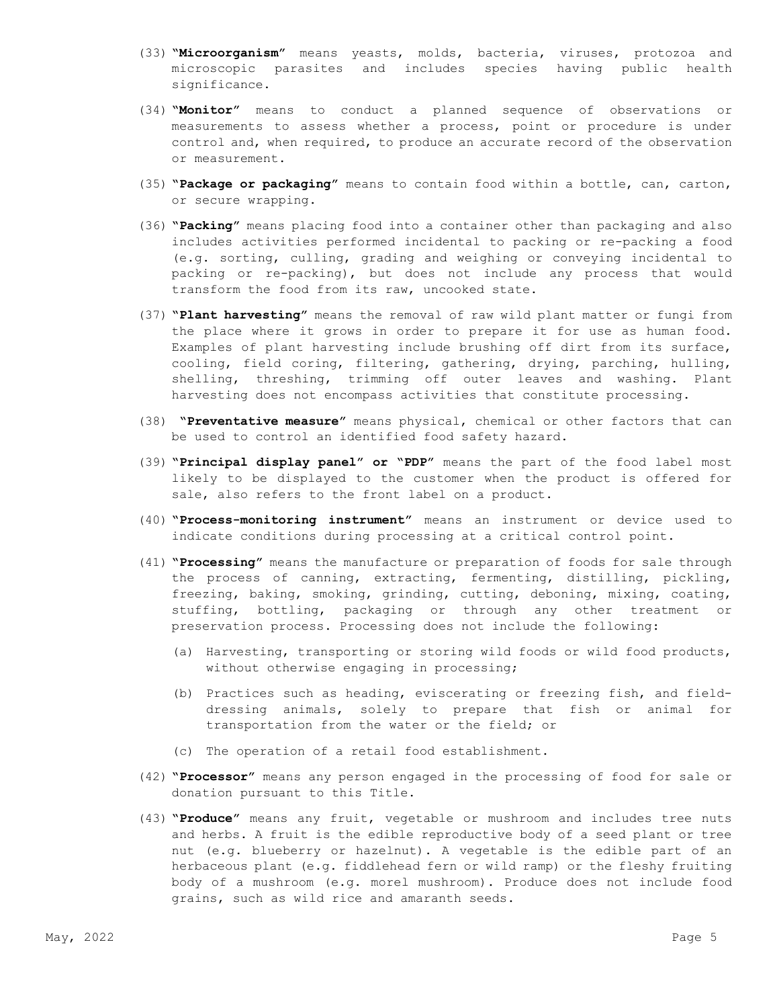- (33) **"Microorganism"** means yeasts, molds, bacteria, viruses, protozoa and microscopic parasites and includes species having public health significance.
- (34) **"Monitor"** means to conduct a planned sequence of observations or measurements to assess whether a process, point or procedure is under control and, when required, to produce an accurate record of the observation or measurement.
- (35) **"Package or packaging"** means to contain food within a bottle, can, carton, or secure wrapping.
- (36) **"Packing"** means placing food into a container other than packaging and also includes activities performed incidental to packing or re-packing a food (e.g. sorting, culling, grading and weighing or conveying incidental to packing or re-packing), but does not include any process that would transform the food from its raw, uncooked state.
- (37) **"Plant harvesting"** means the removal of raw wild plant matter or fungi from the place where it grows in order to prepare it for use as human food. Examples of plant harvesting include brushing off dirt from its surface, cooling, field coring, filtering, gathering, drying, parching, hulling, shelling, threshing, trimming off outer leaves and washing. Plant harvesting does not encompass activities that constitute processing.
- (38) **"Preventative measure"** means physical, chemical or other factors that can be used to control an identified food safety hazard.
- (39) **"Principal display panel" or "PDP"** means the part of the food label most likely to be displayed to the customer when the product is offered for sale, also refers to the front label on a product.
- (40) **"Process-monitoring instrument"** means an instrument or device used to indicate conditions during processing at a critical control point.
- (41) **"Processing"** means the manufacture or preparation of foods for sale through the process of canning, extracting, fermenting, distilling, pickling, freezing, baking, smoking, grinding, cutting, deboning, mixing, coating, stuffing, bottling, packaging or through any other treatment or preservation process. Processing does not include the following:
	- (a) Harvesting, transporting or storing wild foods or wild food products, without otherwise engaging in processing;
	- (b) Practices such as heading, eviscerating or freezing fish, and fielddressing animals, solely to prepare that fish or animal for transportation from the water or the field; or
	- (c) The operation of a retail food establishment.
- (42) **"Processor"** means any person engaged in the processing of food for sale or donation pursuant to this Title.
- (43) **"Produce"** means any fruit, vegetable or mushroom and includes tree nuts and herbs. A fruit is the edible reproductive body of a seed plant or tree nut (e.g. blueberry or hazelnut). A vegetable is the edible part of an herbaceous plant (e.g. fiddlehead fern or wild ramp) or the fleshy fruiting body of a mushroom (e.g. morel mushroom). Produce does not include food grains, such as wild rice and amaranth seeds.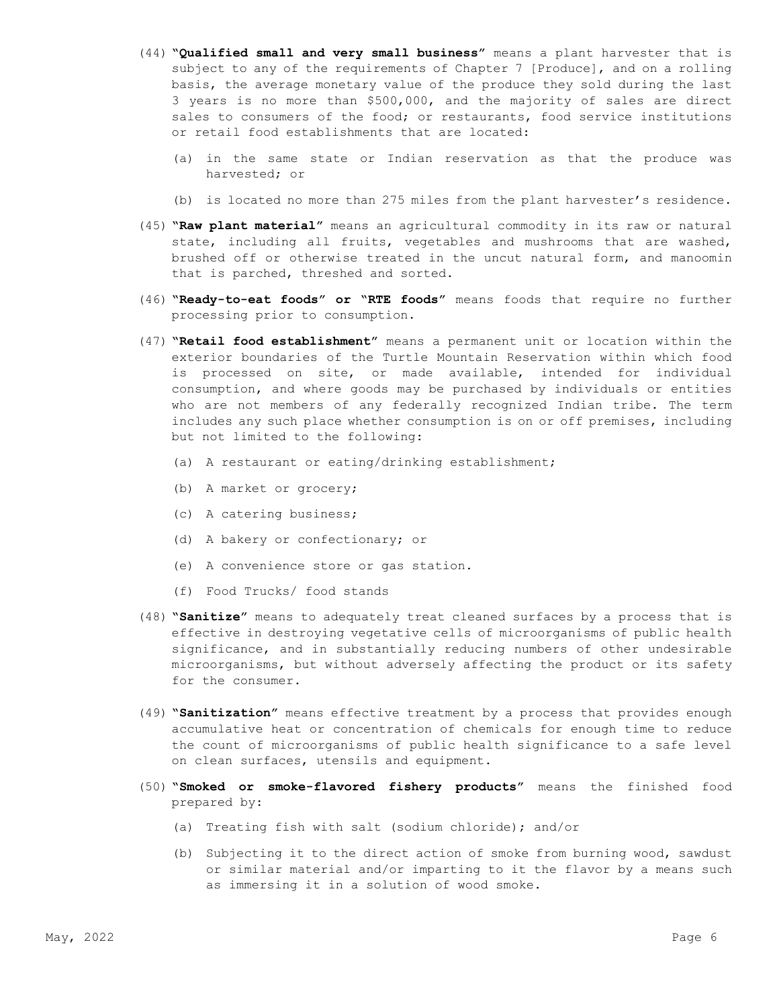- (44) **"Qualified small and very small business"** means a plant harvester that is subject to any of the requirements of Chapter 7 [Produce], and on a rolling basis, the average monetary value of the produce they sold during the last 3 years is no more than \$500,000, and the majority of sales are direct sales to consumers of the food; or restaurants, food service institutions or retail food establishments that are located:
	- (a) in the same state or Indian reservation as that the produce was harvested; or
	- (b) is located no more than 275 miles from the plant harvester's residence.
- (45) **"Raw plant material"** means an agricultural commodity in its raw or natural state, including all fruits, vegetables and mushrooms that are washed, brushed off or otherwise treated in the uncut natural form, and manoomin that is parched, threshed and sorted.
- (46) **"Ready-to-eat foods" or "RTE foods"** means foods that require no further processing prior to consumption.
- (47) **"Retail food establishment"** means a permanent unit or location within the exterior boundaries of the Turtle Mountain Reservation within which food is processed on site, or made available, intended for individual consumption, and where goods may be purchased by individuals or entities who are not members of any federally recognized Indian tribe. The term includes any such place whether consumption is on or off premises, including but not limited to the following:
	- (a) A restaurant or eating/drinking establishment;
	- (b) A market or grocery;
	- (c) A catering business;
	- (d) A bakery or confectionary; or
	- (e) A convenience store or gas station.
	- (f) Food Trucks/ food stands
- (48) **"Sanitize"** means to adequately treat cleaned surfaces by a process that is effective in destroying vegetative cells of microorganisms of public health significance, and in substantially reducing numbers of other undesirable microorganisms, but without adversely affecting the product or its safety for the consumer.
- (49) **"Sanitization"** means effective treatment by a process that provides enough accumulative heat or concentration of chemicals for enough time to reduce the count of microorganisms of public health significance to a safe level on clean surfaces, utensils and equipment.
- (50) **"Smoked or smoke-flavored fishery products"** means the finished food prepared by:
	- (a) Treating fish with salt (sodium chloride); and/or
	- (b) Subjecting it to the direct action of smoke from burning wood, sawdust or similar material and/or imparting to it the flavor by a means such as immersing it in a solution of wood smoke.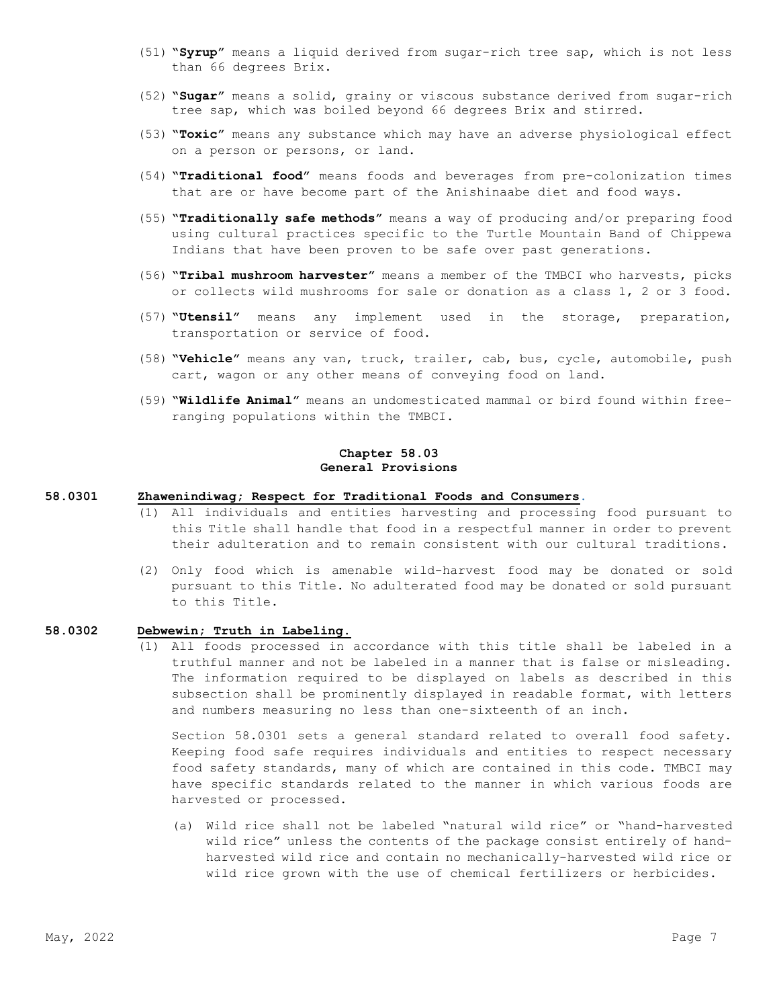- (51) **"Syrup"** means a liquid derived from sugar-rich tree sap, which is not less than 66 degrees Brix.
- (52) **"Sugar"** means a solid, grainy or viscous substance derived from sugar-rich tree sap, which was boiled beyond 66 degrees Brix and stirred.
- (53) **"Toxic"** means any substance which may have an adverse physiological effect on a person or persons, or land.
- (54) **"Traditional food"** means foods and beverages from pre-colonization times that are or have become part of the Anishinaabe diet and food ways.
- (55) **"Traditionally safe methods"** means a way of producing and/or preparing food using cultural practices specific to the Turtle Mountain Band of Chippewa Indians that have been proven to be safe over past generations.
- (56) **"Tribal mushroom harvester"** means a member of the TMBCI who harvests, picks or collects wild mushrooms for sale or donation as a class 1, 2 or 3 food.
- (57) **"Utensil"** means any implement used in the storage, preparation, transportation or service of food.
- (58) **"Vehicle"** means any van, truck, trailer, cab, bus, cycle, automobile, push cart, wagon or any other means of conveying food on land.
- (59) **"Wildlife Animal"** means an undomesticated mammal or bird found within freeranging populations within the TMBCI.

#### **Chapter 58.03 General Provisions**

#### **58.0301 Zhawenindiwag; Respect for Traditional Foods and Consumers**.

- (1) All individuals and entities harvesting and processing food pursuant to this Title shall handle that food in a respectful manner in order to prevent their adulteration and to remain consistent with our cultural traditions.
- (2) Only food which is amenable wild-harvest food may be donated or sold pursuant to this Title. No adulterated food may be donated or sold pursuant to this Title.

# **58.0302 Debwewin; Truth in Labeling.**

(1) All foods processed in accordance with this title shall be labeled in a truthful manner and not be labeled in a manner that is false or misleading. The information required to be displayed on labels as described in this subsection shall be prominently displayed in readable format, with letters and numbers measuring no less than one-sixteenth of an inch.

Section 58.0301 sets a general standard related to overall food safety. Keeping food safe requires individuals and entities to respect necessary food safety standards, many of which are contained in this code. TMBCI may have specific standards related to the manner in which various foods are harvested or processed.

(a) Wild rice shall not be labeled "natural wild rice" or "hand-harvested wild rice" unless the contents of the package consist entirely of handharvested wild rice and contain no mechanically-harvested wild rice or wild rice grown with the use of chemical fertilizers or herbicides.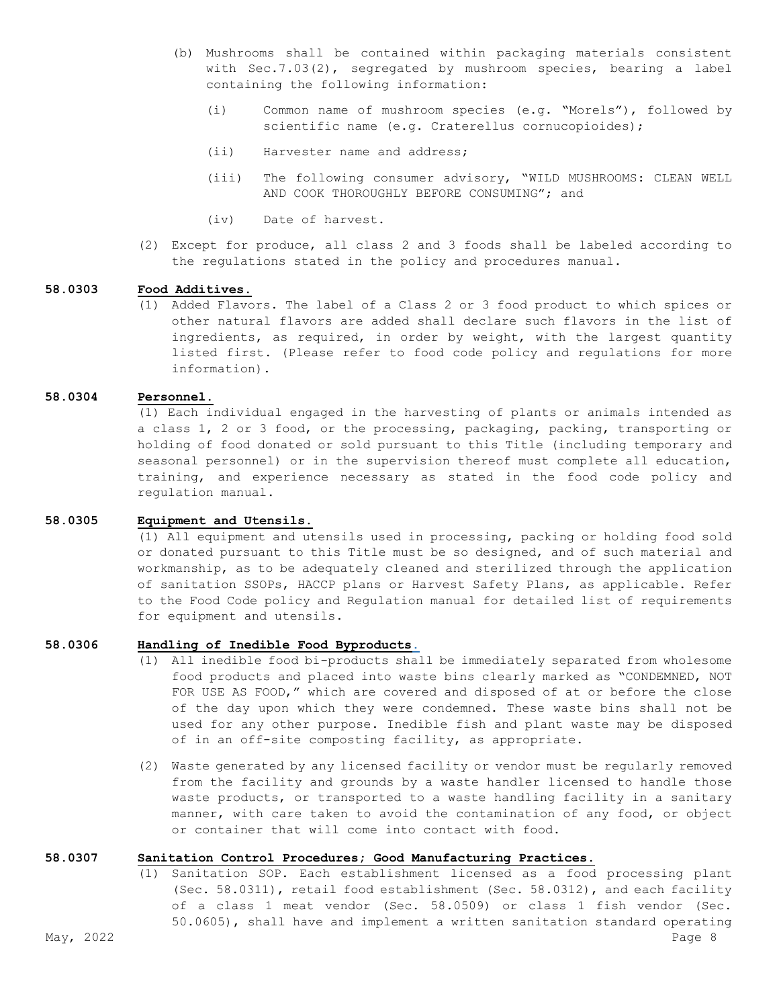- (b) Mushrooms shall be contained within packaging materials consistent with Sec.7.03(2), segregated by mushroom species, bearing a label containing the following information:
	- (i) Common name of mushroom species (e.g. "Morels"), followed by scientific name (e.g. Craterellus cornucopioides);
	- (ii) Harvester name and address;
	- (iii) The following consumer advisory, "WILD MUSHROOMS: CLEAN WELL AND COOK THOROUGHLY BEFORE CONSUMING"; and
	- (iv) Date of harvest.
- (2) Except for produce, all class 2 and 3 foods shall be labeled according to the regulations stated in the policy and procedures manual.

#### **58.0303 Food Additives**.

(1) Added Flavors. The label of a Class 2 or 3 food product to which spices or other natural flavors are added shall declare such flavors in the list of ingredients, as required, in order by weight, with the largest quantity listed first. (Please refer to food code policy and regulations for more information).

#### **58.0304 Personnel.**

(1) Each individual engaged in the harvesting of plants or animals intended as a class 1, 2 or 3 food, or the processing, packaging, packing, transporting or holding of food donated or sold pursuant to this Title (including temporary and seasonal personnel) or in the supervision thereof must complete all education, training, and experience necessary as stated in the food code policy and regulation manual.

#### **58.0305 Equipment and Utensils.**

(1) All equipment and utensils used in processing, packing or holding food sold or donated pursuant to this Title must be so designed, and of such material and workmanship, as to be adequately cleaned and sterilized through the application of sanitation SSOPs, HACCP plans or Harvest Safety Plans, as applicable. Refer to the Food Code policy and Regulation manual for detailed list of requirements for equipment and utensils.

## **58.0306 Handling of Inedible Food Byproducts.**

- (1) All inedible food bi-products shall be immediately separated from wholesome food products and placed into waste bins clearly marked as "CONDEMNED, NOT FOR USE AS FOOD," which are covered and disposed of at or before the close of the day upon which they were condemned. These waste bins shall not be used for any other purpose. Inedible fish and plant waste may be disposed of in an off-site composting facility, as appropriate.
- (2) Waste generated by any licensed facility or vendor must be regularly removed from the facility and grounds by a waste handler licensed to handle those waste products, or transported to a waste handling facility in a sanitary manner, with care taken to avoid the contamination of any food, or object or container that will come into contact with food.

#### **58.0307 Sanitation Control Procedures; Good Manufacturing Practices**.

May, 2022  $\,$  Page 8  $\,$ (1) Sanitation SOP. Each establishment licensed as a food processing plant (Sec. 58.0311), retail food establishment (Sec. 58.0312), and each facility of a class 1 meat vendor (Sec. 58.0509) or class 1 fish vendor (Sec. 50.0605), shall have and implement a written sanitation standard operating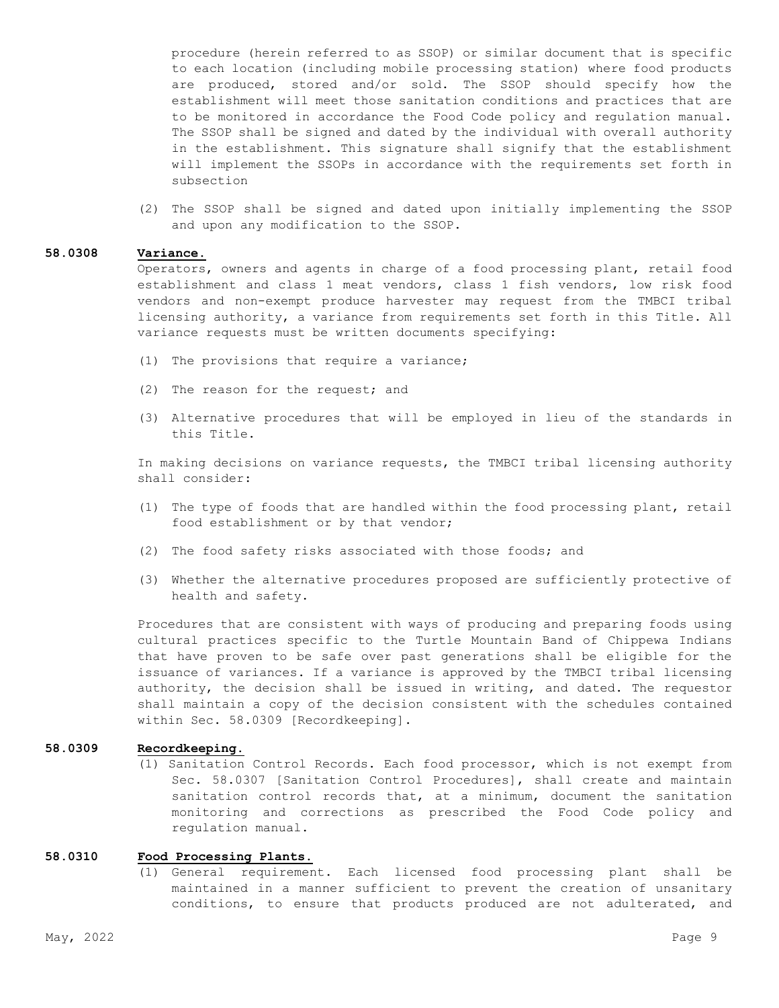procedure (herein referred to as SSOP) or similar document that is specific to each location (including mobile processing station) where food products are produced, stored and/or sold. The SSOP should specify how the establishment will meet those sanitation conditions and practices that are to be monitored in accordance the Food Code policy and regulation manual. The SSOP shall be signed and dated by the individual with overall authority in the establishment. This signature shall signify that the establishment will implement the SSOPs in accordance with the requirements set forth in subsection

(2) The SSOP shall be signed and dated upon initially implementing the SSOP and upon any modification to the SSOP.

# **58.0308 Variance.**

Operators, owners and agents in charge of a food processing plant, retail food establishment and class 1 meat vendors, class 1 fish vendors, low risk food vendors and non-exempt produce harvester may request from the TMBCI tribal licensing authority, a variance from requirements set forth in this Title. All variance requests must be written documents specifying:

- (1) The provisions that require a variance;
- (2) The reason for the request; and
- (3) Alternative procedures that will be employed in lieu of the standards in this Title.

In making decisions on variance requests, the TMBCI tribal licensing authority shall consider:

- (1) The type of foods that are handled within the food processing plant, retail food establishment or by that vendor;
- (2) The food safety risks associated with those foods; and
- (3) Whether the alternative procedures proposed are sufficiently protective of health and safety.

Procedures that are consistent with ways of producing and preparing foods using cultural practices specific to the Turtle Mountain Band of Chippewa Indians that have proven to be safe over past generations shall be eligible for the issuance of variances. If a variance is approved by the TMBCI tribal licensing authority, the decision shall be issued in writing, and dated. The requestor shall maintain a copy of the decision consistent with the schedules contained within Sec. 58.0309 [Recordkeeping].

#### **58.0309 Recordkeeping.**

(1) Sanitation Control Records. Each food processor, which is not exempt from Sec. 58.0307 [Sanitation Control Procedures], shall create and maintain sanitation control records that, at a minimum, document the sanitation monitoring and corrections as prescribed the Food Code policy and regulation manual.

#### **58.0310 Food Processing Plants**.

(1) General requirement. Each licensed food processing plant shall be maintained in a manner sufficient to prevent the creation of unsanitary conditions, to ensure that products produced are not adulterated, and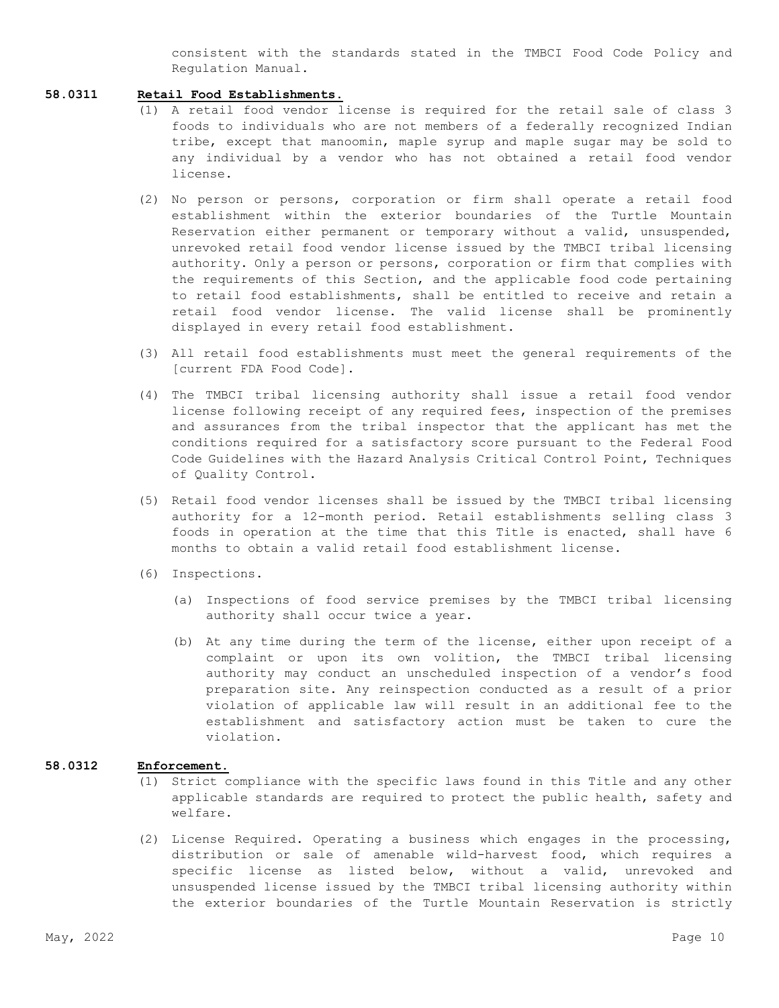consistent with the standards stated in the TMBCI Food Code Policy and Regulation Manual.

# **58.0311 Retail Food Establishments**.

- (1) A retail food vendor license is required for the retail sale of class 3 foods to individuals who are not members of a federally recognized Indian tribe, except that manoomin, maple syrup and maple sugar may be sold to any individual by a vendor who has not obtained a retail food vendor license.
- (2) No person or persons, corporation or firm shall operate a retail food establishment within the exterior boundaries of the Turtle Mountain Reservation either permanent or temporary without a valid, unsuspended, unrevoked retail food vendor license issued by the TMBCI tribal licensing authority. Only a person or persons, corporation or firm that complies with the requirements of this Section, and the applicable food code pertaining to retail food establishments, shall be entitled to receive and retain a retail food vendor license. The valid license shall be prominently displayed in every retail food establishment.
- (3) All retail food establishments must meet the general requirements of the [current FDA Food Code].
- (4) The TMBCI tribal licensing authority shall issue a retail food vendor license following receipt of any required fees, inspection of the premises and assurances from the tribal inspector that the applicant has met the conditions required for a satisfactory score pursuant to the Federal Food Code Guidelines with the Hazard Analysis Critical Control Point, Techniques of Quality Control.
- (5) Retail food vendor licenses shall be issued by the TMBCI tribal licensing authority for a 12-month period. Retail establishments selling class 3 foods in operation at the time that this Title is enacted, shall have 6 months to obtain a valid retail food establishment license.
- (6) Inspections.
	- (a) Inspections of food service premises by the TMBCI tribal licensing authority shall occur twice a year.
	- (b) At any time during the term of the license, either upon receipt of a complaint or upon its own volition, the TMBCI tribal licensing authority may conduct an unscheduled inspection of a vendor's food preparation site. Any reinspection conducted as a result of a prior violation of applicable law will result in an additional fee to the establishment and satisfactory action must be taken to cure the violation.

#### **58.0312 Enforcement.**

- (1) Strict compliance with the specific laws found in this Title and any other applicable standards are required to protect the public health, safety and welfare.
- (2) License Required. Operating a business which engages in the processing, distribution or sale of amenable wild-harvest food, which requires a specific license as listed below, without a valid, unrevoked and unsuspended license issued by the TMBCI tribal licensing authority within the exterior boundaries of the Turtle Mountain Reservation is strictly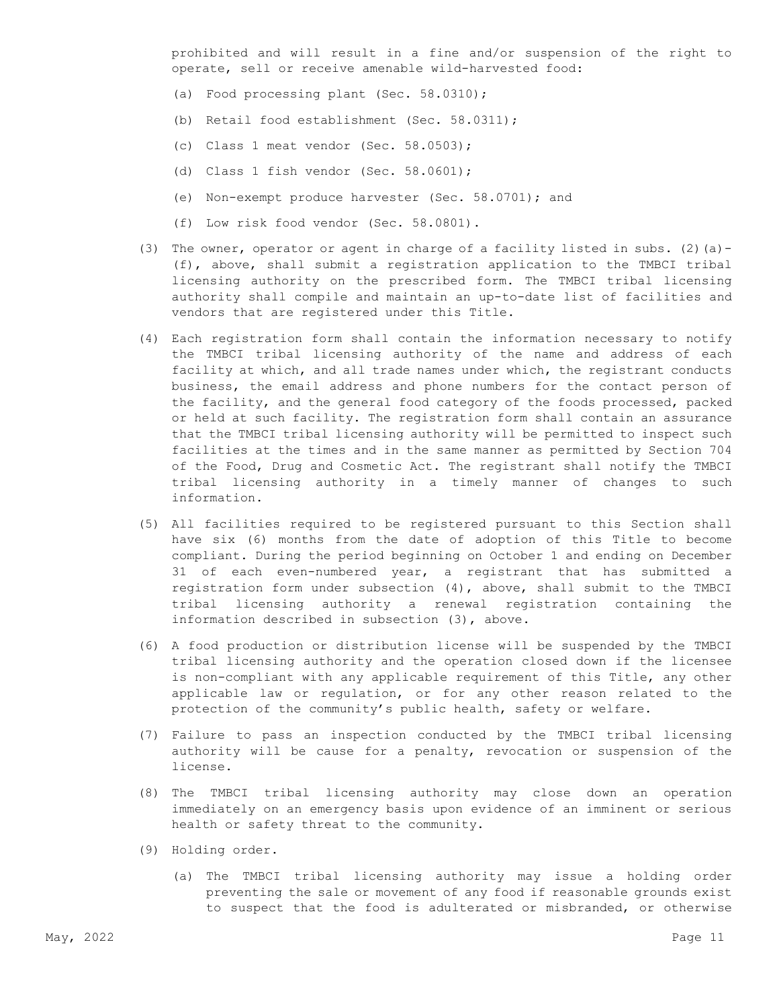prohibited and will result in a fine and/or suspension of the right to operate, sell or receive amenable wild-harvested food:

- (a) Food processing plant (Sec. 58.0310);
- (b) Retail food establishment (Sec. 58.0311);
- (c) Class 1 meat vendor (Sec. 58.0503);
- (d) Class 1 fish vendor (Sec. 58.0601);
- (e) Non-exempt produce harvester (Sec. 58.0701); and
- (f) Low risk food vendor (Sec. 58.0801).
- (3) The owner, operator or agent in charge of a facility listed in subs. (2)(a) -(f), above, shall submit a registration application to the TMBCI tribal licensing authority on the prescribed form. The TMBCI tribal licensing authority shall compile and maintain an up-to-date list of facilities and vendors that are registered under this Title.
- (4) Each registration form shall contain the information necessary to notify the TMBCI tribal licensing authority of the name and address of each facility at which, and all trade names under which, the registrant conducts business, the email address and phone numbers for the contact person of the facility, and the general food category of the foods processed, packed or held at such facility. The registration form shall contain an assurance that the TMBCI tribal licensing authority will be permitted to inspect such facilities at the times and in the same manner as permitted by Section 704 of the Food, Drug and Cosmetic Act. The registrant shall notify the TMBCI tribal licensing authority in a timely manner of changes to such information.
- (5) All facilities required to be registered pursuant to this Section shall have six (6) months from the date of adoption of this Title to become compliant. During the period beginning on October 1 and ending on December 31 of each even-numbered year, a registrant that has submitted a registration form under subsection (4), above, shall submit to the TMBCI tribal licensing authority a renewal registration containing the information described in subsection (3), above.
- (6) A food production or distribution license will be suspended by the TMBCI tribal licensing authority and the operation closed down if the licensee is non-compliant with any applicable requirement of this Title, any other applicable law or regulation, or for any other reason related to the protection of the community's public health, safety or welfare.
- (7) Failure to pass an inspection conducted by the TMBCI tribal licensing authority will be cause for a penalty, revocation or suspension of the license.
- (8) The TMBCI tribal licensing authority may close down an operation immediately on an emergency basis upon evidence of an imminent or serious health or safety threat to the community.
- (9) Holding order.
	- (a) The TMBCI tribal licensing authority may issue a holding order preventing the sale or movement of any food if reasonable grounds exist to suspect that the food is adulterated or misbranded, or otherwise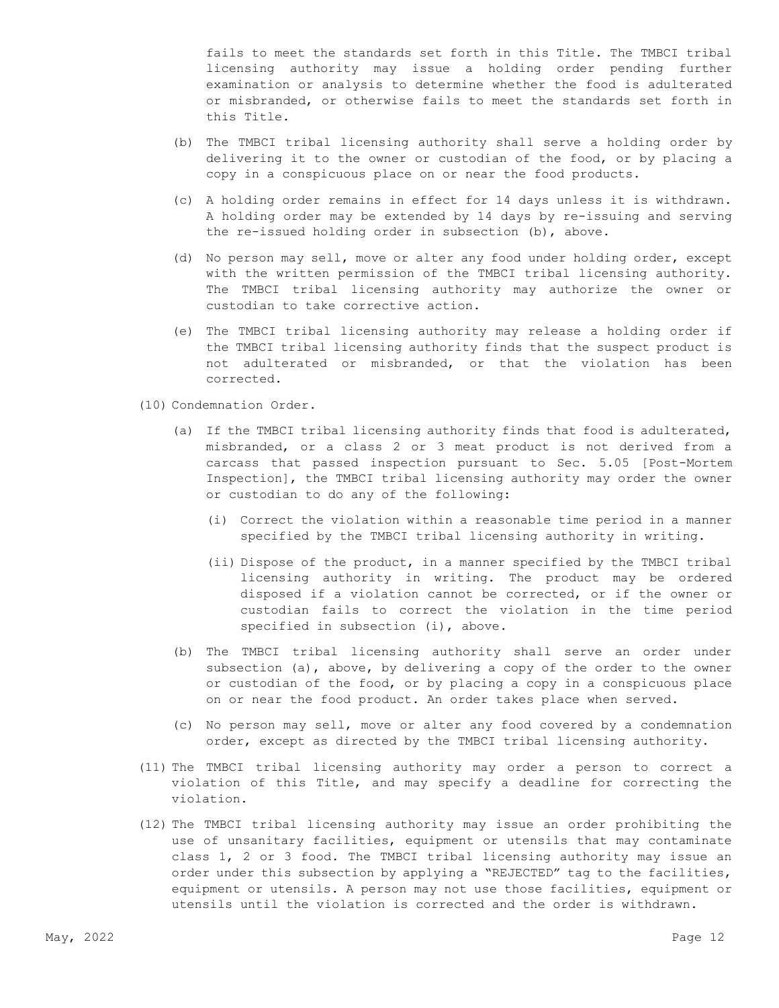fails to meet the standards set forth in this Title. The TMBCI tribal licensing authority may issue a holding order pending further examination or analysis to determine whether the food is adulterated or misbranded, or otherwise fails to meet the standards set forth in this Title.

- (b) The TMBCI tribal licensing authority shall serve a holding order by delivering it to the owner or custodian of the food, or by placing a copy in a conspicuous place on or near the food products.
- (c) A holding order remains in effect for 14 days unless it is withdrawn. A holding order may be extended by 14 days by re-issuing and serving the re-issued holding order in subsection (b), above.
- (d) No person may sell, move or alter any food under holding order, except with the written permission of the TMBCI tribal licensing authority. The TMBCI tribal licensing authority may authorize the owner or custodian to take corrective action.
- (e) The TMBCI tribal licensing authority may release a holding order if the TMBCI tribal licensing authority finds that the suspect product is not adulterated or misbranded, or that the violation has been corrected.
- (10) Condemnation Order.
	- (a) If the TMBCI tribal licensing authority finds that food is adulterated, misbranded, or a class 2 or 3 meat product is not derived from a carcass that passed inspection pursuant to Sec. 5.05 [Post-Mortem Inspection], the TMBCI tribal licensing authority may order the owner or custodian to do any of the following:
		- (i) Correct the violation within a reasonable time period in a manner specified by the TMBCI tribal licensing authority in writing.
		- (ii) Dispose of the product, in a manner specified by the TMBCI tribal licensing authority in writing. The product may be ordered disposed if a violation cannot be corrected, or if the owner or custodian fails to correct the violation in the time period specified in subsection (i), above.
	- (b) The TMBCI tribal licensing authority shall serve an order under subsection (a), above, by delivering a copy of the order to the owner or custodian of the food, or by placing a copy in a conspicuous place on or near the food product. An order takes place when served.
	- (c) No person may sell, move or alter any food covered by a condemnation order, except as directed by the TMBCI tribal licensing authority.
- (11) The TMBCI tribal licensing authority may order a person to correct a violation of this Title, and may specify a deadline for correcting the violation.
- (12) The TMBCI tribal licensing authority may issue an order prohibiting the use of unsanitary facilities, equipment or utensils that may contaminate class 1, 2 or 3 food. The TMBCI tribal licensing authority may issue an order under this subsection by applying a "REJECTED" tag to the facilities, equipment or utensils. A person may not use those facilities, equipment or utensils until the violation is corrected and the order is withdrawn.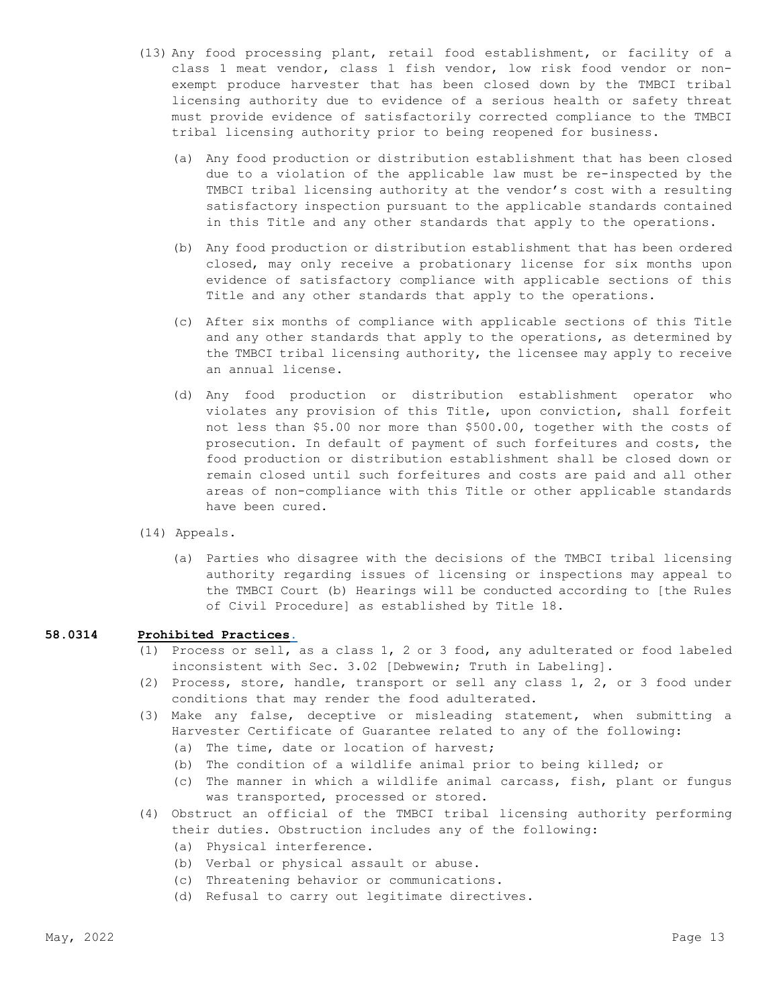- (13) Any food processing plant, retail food establishment, or facility of a class 1 meat vendor, class 1 fish vendor, low risk food vendor or nonexempt produce harvester that has been closed down by the TMBCI tribal licensing authority due to evidence of a serious health or safety threat must provide evidence of satisfactorily corrected compliance to the TMBCI tribal licensing authority prior to being reopened for business.
	- (a) Any food production or distribution establishment that has been closed due to a violation of the applicable law must be re-inspected by the TMBCI tribal licensing authority at the vendor's cost with a resulting satisfactory inspection pursuant to the applicable standards contained in this Title and any other standards that apply to the operations.
	- (b) Any food production or distribution establishment that has been ordered closed, may only receive a probationary license for six months upon evidence of satisfactory compliance with applicable sections of this Title and any other standards that apply to the operations.
	- (c) After six months of compliance with applicable sections of this Title and any other standards that apply to the operations, as determined by the TMBCI tribal licensing authority, the licensee may apply to receive an annual license.
	- (d) Any food production or distribution establishment operator who violates any provision of this Title, upon conviction, shall forfeit not less than \$5.00 nor more than \$500.00, together with the costs of prosecution. In default of payment of such forfeitures and costs, the food production or distribution establishment shall be closed down or remain closed until such forfeitures and costs are paid and all other areas of non-compliance with this Title or other applicable standards have been cured.
- (14) Appeals.
	- (a) Parties who disagree with the decisions of the TMBCI tribal licensing authority regarding issues of licensing or inspections may appeal to the TMBCI Court (b) Hearings will be conducted according to [the Rules of Civil Procedure] as established by Title 18.

## **58.0314 Prohibited Practices.**

- (1) Process or sell, as a class 1, 2 or 3 food, any adulterated or food labeled inconsistent with Sec. 3.02 [Debwewin; Truth in Labeling].
- (2) Process, store, handle, transport or sell any class 1, 2, or 3 food under conditions that may render the food adulterated.
- (3) Make any false, deceptive or misleading statement, when submitting a Harvester Certificate of Guarantee related to any of the following:
	- (a) The time, date or location of harvest;
	- (b) The condition of a wildlife animal prior to being killed; or
	- (c) The manner in which a wildlife animal carcass, fish, plant or fungus was transported, processed or stored.
- (4) Obstruct an official of the TMBCI tribal licensing authority performing their duties. Obstruction includes any of the following:
	- (a) Physical interference.
	- (b) Verbal or physical assault or abuse.
	- (c) Threatening behavior or communications.
	- (d) Refusal to carry out legitimate directives.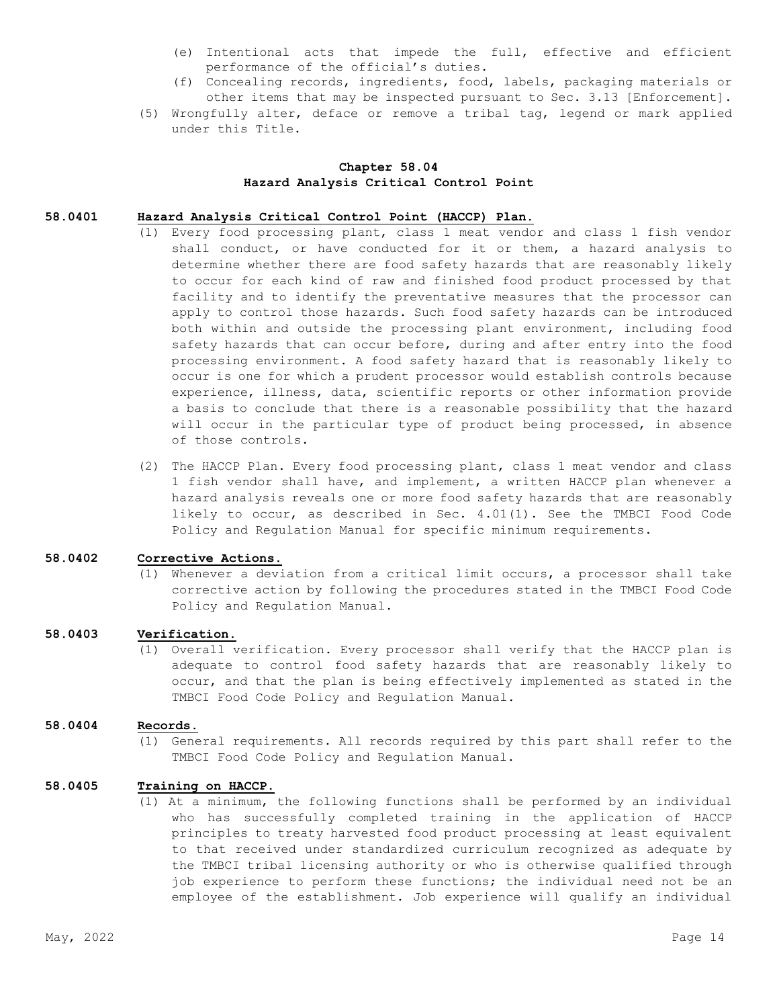- (e) Intentional acts that impede the full, effective and efficient performance of the official's duties.
- (f) Concealing records, ingredients, food, labels, packaging materials or other items that may be inspected pursuant to Sec. 3.13 [Enforcement].
- (5) Wrongfully alter, deface or remove a tribal tag, legend or mark applied under this Title.

## **Chapter 58.04 Hazard Analysis Critical Control Point**

#### **58.0401 Hazard Analysis Critical Control Point (HACCP) Plan.**

- (1) Every food processing plant, class 1 meat vendor and class 1 fish vendor shall conduct, or have conducted for it or them, a hazard analysis to determine whether there are food safety hazards that are reasonably likely to occur for each kind of raw and finished food product processed by that facility and to identify the preventative measures that the processor can apply to control those hazards. Such food safety hazards can be introduced both within and outside the processing plant environment, including food safety hazards that can occur before, during and after entry into the food processing environment. A food safety hazard that is reasonably likely to occur is one for which a prudent processor would establish controls because experience, illness, data, scientific reports or other information provide a basis to conclude that there is a reasonable possibility that the hazard will occur in the particular type of product being processed, in absence of those controls.
- (2) The HACCP Plan. Every food processing plant, class 1 meat vendor and class 1 fish vendor shall have, and implement, a written HACCP plan whenever a hazard analysis reveals one or more food safety hazards that are reasonably likely to occur, as described in Sec. 4.01(1). See the TMBCI Food Code Policy and Regulation Manual for specific minimum requirements.

#### **58.0402 Corrective Actions**.

(1) Whenever a deviation from a critical limit occurs, a processor shall take corrective action by following the procedures stated in the TMBCI Food Code Policy and Regulation Manual.

# **58.0403 Verification.**

(1) Overall verification. Every processor shall verify that the HACCP plan is adequate to control food safety hazards that are reasonably likely to occur, and that the plan is being effectively implemented as stated in the TMBCI Food Code Policy and Regulation Manual.

#### **58.0404 Records**.

(1) General requirements. All records required by this part shall refer to the TMBCI Food Code Policy and Regulation Manual.

## **58.0405 Training on HACCP**.

(1) At a minimum, the following functions shall be performed by an individual who has successfully completed training in the application of HACCP principles to treaty harvested food product processing at least equivalent to that received under standardized curriculum recognized as adequate by the TMBCI tribal licensing authority or who is otherwise qualified through job experience to perform these functions; the individual need not be an employee of the establishment. Job experience will qualify an individual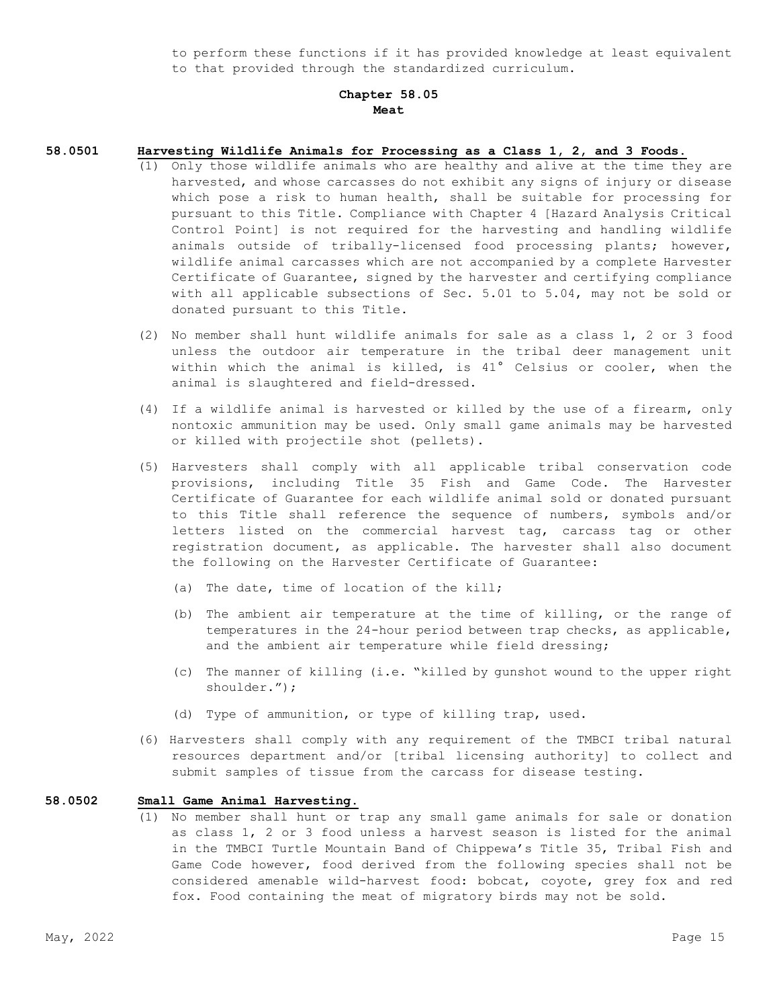to perform these functions if it has provided knowledge at least equivalent to that provided through the standardized curriculum.

# **Chapter 58.05 Meat**

#### **58.0501 Harvesting Wildlife Animals for Processing as a Class 1, 2, and 3 Foods.**

- (1) Only those wildlife animals who are healthy and alive at the time they are harvested, and whose carcasses do not exhibit any signs of injury or disease which pose a risk to human health, shall be suitable for processing for pursuant to this Title. Compliance with Chapter 4 [Hazard Analysis Critical Control Point] is not required for the harvesting and handling wildlife animals outside of tribally-licensed food processing plants; however, wildlife animal carcasses which are not accompanied by a complete Harvester Certificate of Guarantee, signed by the harvester and certifying compliance with all applicable subsections of Sec. 5.01 to 5.04, may not be sold or donated pursuant to this Title.
- (2) No member shall hunt wildlife animals for sale as a class 1, 2 or 3 food unless the outdoor air temperature in the tribal deer management unit within which the animal is killed, is 41° Celsius or cooler, when the animal is slaughtered and field-dressed.
- (4) If a wildlife animal is harvested or killed by the use of a firearm, only nontoxic ammunition may be used. Only small game animals may be harvested or killed with projectile shot (pellets).
- (5) Harvesters shall comply with all applicable tribal conservation code provisions, including Title 35 Fish and Game Code. The Harvester Certificate of Guarantee for each wildlife animal sold or donated pursuant to this Title shall reference the sequence of numbers, symbols and/or letters listed on the commercial harvest tag, carcass tag or other registration document, as applicable. The harvester shall also document the following on the Harvester Certificate of Guarantee:
	- (a) The date, time of location of the kill;
	- (b) The ambient air temperature at the time of killing, or the range of temperatures in the 24-hour period between trap checks, as applicable, and the ambient air temperature while field dressing;
	- (c) The manner of killing (i.e. "killed by gunshot wound to the upper right shoulder.");
	- (d) Type of ammunition, or type of killing trap, used.
- (6) Harvesters shall comply with any requirement of the TMBCI tribal natural resources department and/or [tribal licensing authority] to collect and submit samples of tissue from the carcass for disease testing.

## **58.0502 Small Game Animal Harvesting.**

(1) No member shall hunt or trap any small game animals for sale or donation as class 1, 2 or 3 food unless a harvest season is listed for the animal in the TMBCI Turtle Mountain Band of Chippewa's Title 35, Tribal Fish and Game Code however, food derived from the following species shall not be considered amenable wild-harvest food: bobcat, coyote, grey fox and red fox. Food containing the meat of migratory birds may not be sold.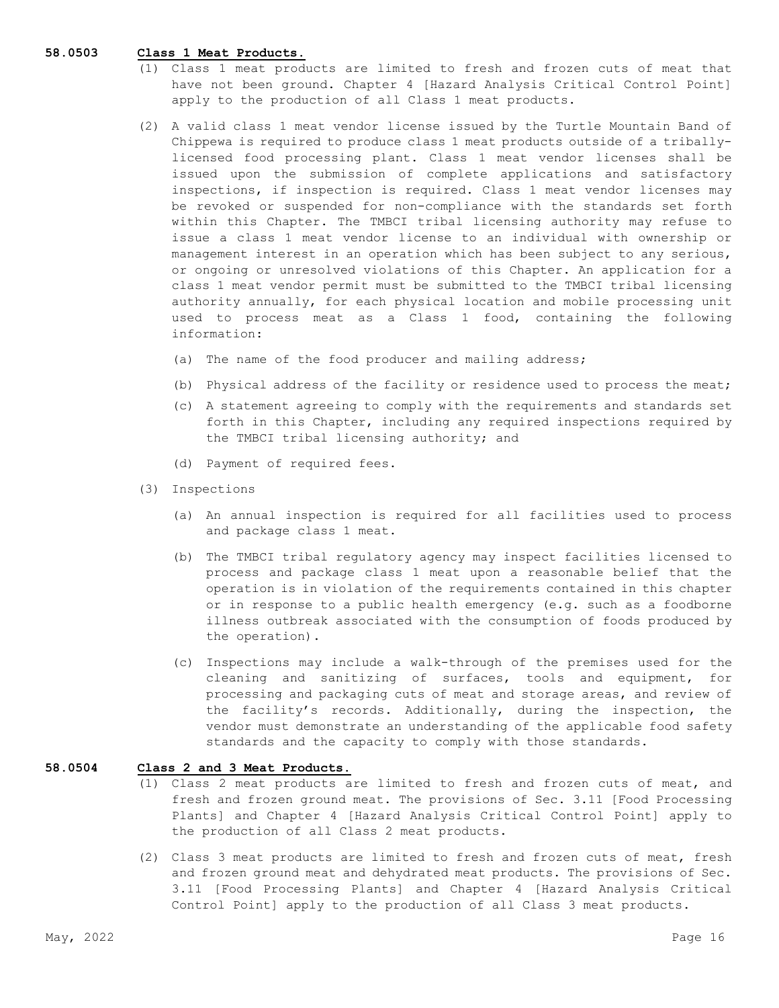#### **58.0503 Class 1 Meat Products.**

- (1) Class 1 meat products are limited to fresh and frozen cuts of meat that have not been ground. Chapter 4 [Hazard Analysis Critical Control Point] apply to the production of all Class 1 meat products.
- (2) A valid class 1 meat vendor license issued by the Turtle Mountain Band of Chippewa is required to produce class 1 meat products outside of a triballylicensed food processing plant. Class 1 meat vendor licenses shall be issued upon the submission of complete applications and satisfactory inspections, if inspection is required. Class 1 meat vendor licenses may be revoked or suspended for non-compliance with the standards set forth within this Chapter. The TMBCI tribal licensing authority may refuse to issue a class 1 meat vendor license to an individual with ownership or management interest in an operation which has been subject to any serious, or ongoing or unresolved violations of this Chapter. An application for a class 1 meat vendor permit must be submitted to the TMBCI tribal licensing authority annually, for each physical location and mobile processing unit used to process meat as a Class 1 food, containing the following information:
	- (a) The name of the food producer and mailing address;
	- (b) Physical address of the facility or residence used to process the meat;
	- (c) A statement agreeing to comply with the requirements and standards set forth in this Chapter, including any required inspections required by the TMBCI tribal licensing authority; and
	- (d) Payment of required fees.
- (3) Inspections
	- (a) An annual inspection is required for all facilities used to process and package class 1 meat.
	- (b) The TMBCI tribal regulatory agency may inspect facilities licensed to process and package class 1 meat upon a reasonable belief that the operation is in violation of the requirements contained in this chapter or in response to a public health emergency (e.g. such as a foodborne illness outbreak associated with the consumption of foods produced by the operation).
	- (c) Inspections may include a walk-through of the premises used for the cleaning and sanitizing of surfaces, tools and equipment, for processing and packaging cuts of meat and storage areas, and review of the facility's records. Additionally, during the inspection, the vendor must demonstrate an understanding of the applicable food safety standards and the capacity to comply with those standards.

#### **58.0504 Class 2 and 3 Meat Products.**

- (1) Class 2 meat products are limited to fresh and frozen cuts of meat, and fresh and frozen ground meat. The provisions of Sec. 3.11 [Food Processing Plants] and Chapter 4 [Hazard Analysis Critical Control Point] apply to the production of all Class 2 meat products.
- (2) Class 3 meat products are limited to fresh and frozen cuts of meat, fresh and frozen ground meat and dehydrated meat products. The provisions of Sec. 3.11 [Food Processing Plants] and Chapter 4 [Hazard Analysis Critical Control Point] apply to the production of all Class 3 meat products.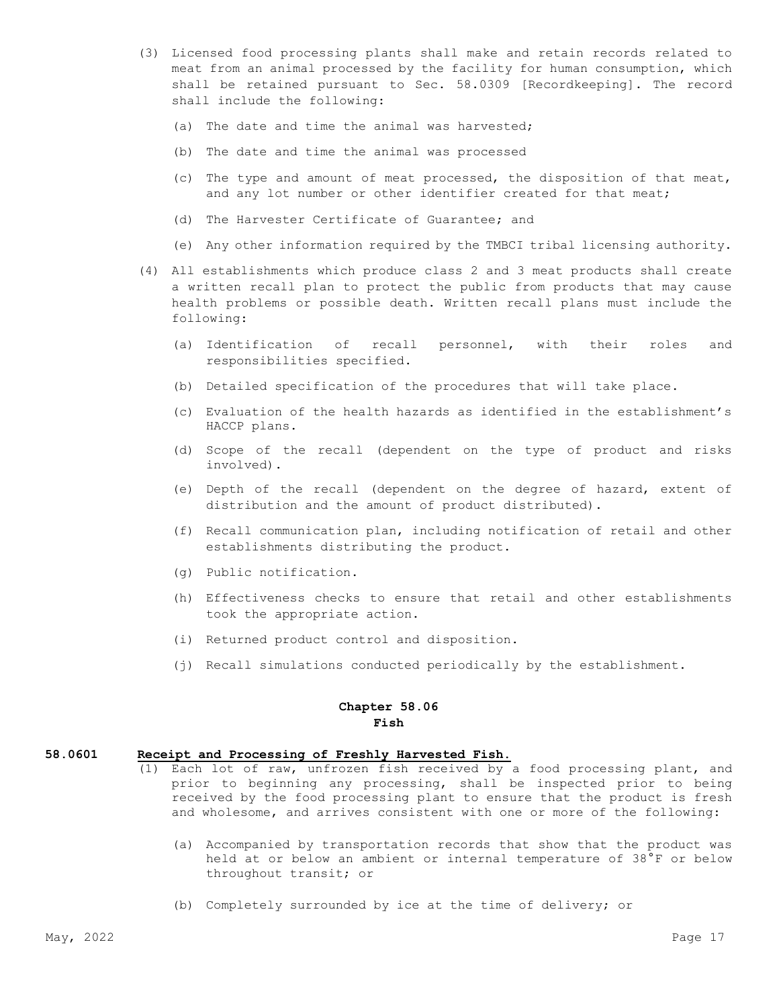- (3) Licensed food processing plants shall make and retain records related to meat from an animal processed by the facility for human consumption, which shall be retained pursuant to Sec. 58.0309 [Recordkeeping]. The record shall include the following:
	- (a) The date and time the animal was harvested;
	- (b) The date and time the animal was processed
	- (c) The type and amount of meat processed, the disposition of that meat, and any lot number or other identifier created for that meat;
	- (d) The Harvester Certificate of Guarantee; and
	- (e) Any other information required by the TMBCI tribal licensing authority.
- (4) All establishments which produce class 2 and 3 meat products shall create a written recall plan to protect the public from products that may cause health problems or possible death. Written recall plans must include the following:
	- (a) Identification of recall personnel, with their roles and responsibilities specified.
	- (b) Detailed specification of the procedures that will take place.
	- (c) Evaluation of the health hazards as identified in the establishment's HACCP plans.
	- (d) Scope of the recall (dependent on the type of product and risks involved).
	- (e) Depth of the recall (dependent on the degree of hazard, extent of distribution and the amount of product distributed).
	- (f) Recall communication plan, including notification of retail and other establishments distributing the product.
	- (g) Public notification.
	- (h) Effectiveness checks to ensure that retail and other establishments took the appropriate action.
	- (i) Returned product control and disposition.
	- (j) Recall simulations conducted periodically by the establishment.

# **Chapter 58.06 Fish**

#### **58.0601 Receipt and Processing of Freshly Harvested Fish.**

- (1) Each lot of raw, unfrozen fish received by a food processing plant, and prior to beginning any processing, shall be inspected prior to being received by the food processing plant to ensure that the product is fresh and wholesome, and arrives consistent with one or more of the following:
	- (a) Accompanied by transportation records that show that the product was held at or below an ambient or internal temperature of 38°F or below throughout transit; or
	- (b) Completely surrounded by ice at the time of delivery; or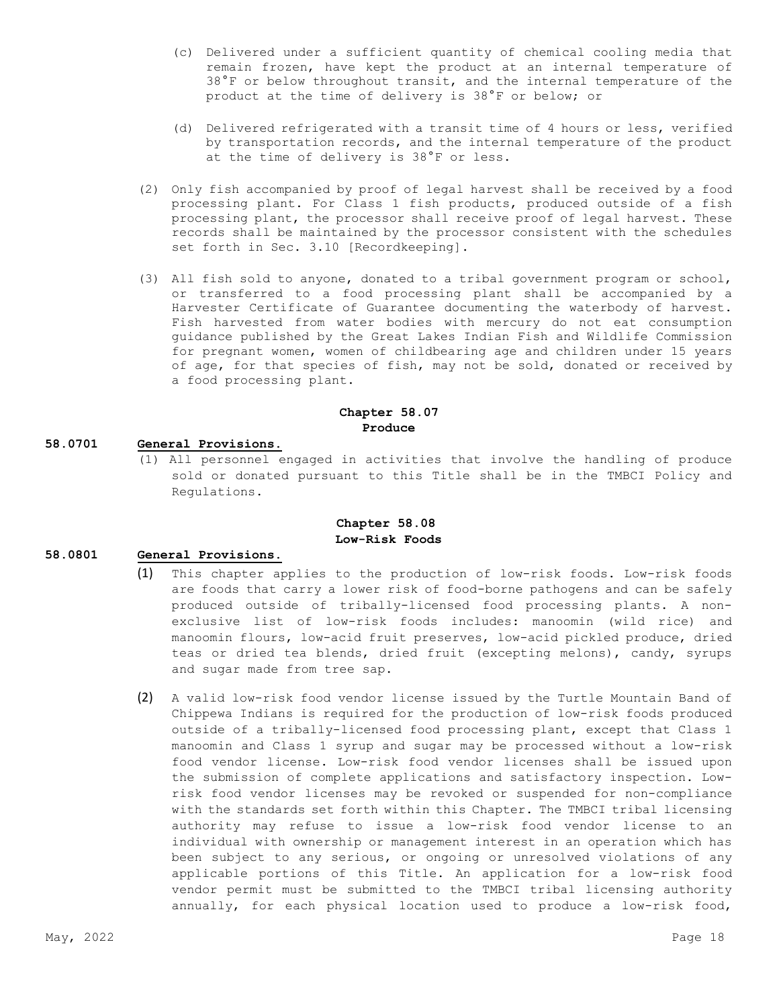- (c) Delivered under a sufficient quantity of chemical cooling media that remain frozen, have kept the product at an internal temperature of 38°F or below throughout transit, and the internal temperature of the product at the time of delivery is 38°F or below; or
- (d) Delivered refrigerated with a transit time of 4 hours or less, verified by transportation records, and the internal temperature of the product at the time of delivery is 38°F or less.
- (2) Only fish accompanied by proof of legal harvest shall be received by a food processing plant. For Class 1 fish products, produced outside of a fish processing plant, the processor shall receive proof of legal harvest. These records shall be maintained by the processor consistent with the schedules set forth in Sec. 3.10 [Recordkeeping].
- (3) All fish sold to anyone, donated to a tribal government program or school, or transferred to a food processing plant shall be accompanied by a Harvester Certificate of Guarantee documenting the waterbody of harvest. Fish harvested from water bodies with mercury do not eat consumption guidance published by the Great Lakes Indian Fish and Wildlife Commission for pregnant women, women of childbearing age and children under 15 years of age, for that species of fish, may not be sold, donated or received by a food processing plant.

# **Chapter 58.07**

# **Produce**

# **58.0701 General Provisions.**

(1) All personnel engaged in activities that involve the handling of produce sold or donated pursuant to this Title shall be in the TMBCI Policy and Regulations.

## **Chapter 58.08 Low-Risk Foods**

# **58.0801 General Provisions.**

- (1) This chapter applies to the production of low-risk foods. Low-risk foods are foods that carry a lower risk of food-borne pathogens and can be safely produced outside of tribally-licensed food processing plants. A nonexclusive list of low-risk foods includes: manoomin (wild rice) and manoomin flours, low-acid fruit preserves, low-acid pickled produce, dried teas or dried tea blends, dried fruit (excepting melons), candy, syrups and sugar made from tree sap.
- (2) A valid low-risk food vendor license issued by the Turtle Mountain Band of Chippewa Indians is required for the production of low-risk foods produced outside of a tribally-licensed food processing plant, except that Class 1 manoomin and Class 1 syrup and sugar may be processed without a low-risk food vendor license. Low-risk food vendor licenses shall be issued upon the submission of complete applications and satisfactory inspection. Lowrisk food vendor licenses may be revoked or suspended for non-compliance with the standards set forth within this Chapter. The TMBCI tribal licensing authority may refuse to issue a low-risk food vendor license to an individual with ownership or management interest in an operation which has been subject to any serious, or ongoing or unresolved violations of any applicable portions of this Title. An application for a low-risk food vendor permit must be submitted to the TMBCI tribal licensing authority annually, for each physical location used to produce a low-risk food,